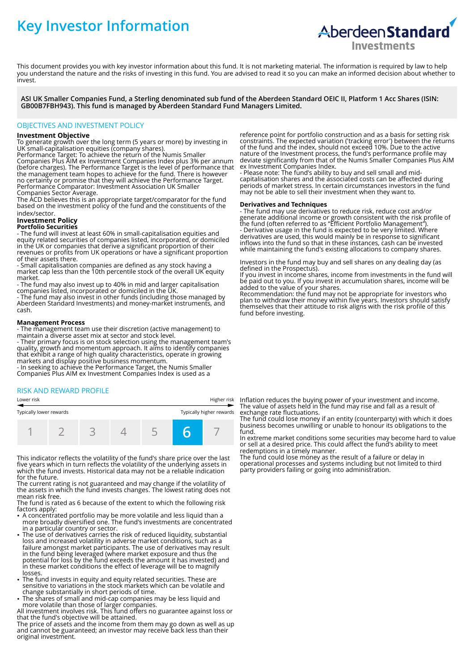# **Key Investor Information**



This document provides you with key investor information about this fund. It is not marketing material. The information is required by law to help you understand the nature and the risks of investing in this fund. You are advised to read it so you can make an informed decision about whether to invest.

**ASI UK Smaller Companies Fund, a Sterling denominated sub fund of the Aberdeen Standard OEIC II, Platform 1 Acc Shares (ISIN: GB00B7FBH943). This fund is managed by Aberdeen Standard Fund Managers Limited.**

# OBJECTIVES AND INVESTMENT POLICY

## **Investment Objective**

To generate growth over the long term (5 years or more) by investing in UK small-capitalisation equities (company shares).

Performance Target: To achieve the return of the Numis Smaller Companies Plus AIM ex Investment Companies Index plus 3% per annum (before charges). The Performance Target is the level of performance that the management team hopes to achieve for the fund. There is however no certainty or promise that they will achieve the Performance Target. Performance Comparator: Investment Association UK Smaller Companies Sector Average.

The ACD believes this is an appropriate target/comparator for the fund based on the investment policy of the fund and the constituents of the index/sector.

# **Investment Policy**

### **Portfolio Securities**

- The fund will invest at least 60% in small-capitalisation equities and equity related securities of companies listed, incorporated, or domiciled in the UK or companies that derive a significant proportion of their revenues or profits from UK operations or have a significant proportion of their assets there.

- Small capitalisation companies are defined as any stock having a market cap less than the 10th percentile stock of the overall UK equity market.

- The fund may also invest up to 40% in mid and larger capitalisation companies listed, incorporated or domiciled in the UK.

- The fund may also invest in other funds (including those managed by Aberdeen Standard Investments) and money-market instruments, and cash.

### **Management Process**

- The management team use their discretion (active management) to maintain a diverse asset mix at sector and stock level.

- Their primary focus is on stock selection using the management team's quality, growth and momentum approach. It aims to identify companies that exhibit a range of high quality characteristics, operate in growing markets and display positive business momentum.

- In seeking to achieve the Performance Target, the Numis Smaller Companies Plus AIM ex Investment Companies Index is used as a

# RISK AND REWARD PROFILE

| Typically lower rewards |  | Typically higher rewards |  |  |  |
|-------------------------|--|--------------------------|--|--|--|
|                         |  |                          |  |  |  |

This indicator reflects the volatility of the fund's share price over the last five years which in turn reflects the volatility of the underlying assets in which the fund invests. Historical data may not be a reliable indication for the future.

The current rating is not guaranteed and may change if the volatility of the assets in which the fund invests changes. The lowest rating does not mean risk free.

The fund is rated as 6 because of the extent to which the following risk factors apply:

- A concentrated portfolio may be more volatile and less liquid than a more broadly diversified one. The fund's investments are concentrated
- in a particular country or sector. 2 The use of derivatives carries the risk of reduced liquidity, substantial loss and increased volatility in adverse market conditions, such as a failure amongst market participants. The use of derivatives may result in the fund being leveraged (where market exposure and thus the potential for loss by the fund exceeds the amount it has invested) and in these market conditions the effect of leverage will be to magnify losses.
- The fund invests in equity and equity related securities. These are sensitive to variations in the stock markets which can be volatile and change substantially in short periods of time.
- The shares of small and mid-cap companies may be less liquid and more volatile than those of larger companies.

All investment involves risk. This fund offers no guarantee against loss or that the fund's objective will be attained.

The price of assets and the income from them may go down as well as up and cannot be guaranteed; an investor may receive back less than their original investment.

reference point for portfolio construction and as a basis for setting risk constraints. The expected variation ('tracking error') between the returns of the fund and the index, should not exceed 10%. Due to the active nature of the Investment process, the fund's performance profile may deviate significantly from that of the Numis Smaller Companies Plus AIM ex Investment Companies Index.

- Please note: The fund's ability to buy and sell small and midcapitalisation shares and the associated costs can be affected during periods of market stress. In certain circumstances investors in the fund may not be able to sell their investment when they want to.

## **Derivatives and Techniques**

- The fund may use derivatives to reduce risk, reduce cost and/or generate additional income or growth consistent with the risk profile of the fund (often referred to as "Efficient Portfolio Management"). - Derivative usage in the fund is expected to be very limited. Where derivatives are used, this would mainly be in response to significant inflows into the fund so that in these instances, cash can be invested while maintaining the fund's existing allocations to company shares.

Investors in the fund may buy and sell shares on any dealing day (as defined in the Prospectus).

If you invest in income shares, income from investments in the fund will be paid out to you. If you invest in accumulation shares, income will be added to the value of your shares.

Recommendation: the fund may not be appropriate for investors who plan to withdraw their money within five years. Investors should satisfy themselves that their attitude to risk aligns with the risk profile of this fund before investing.

Lower risk Higher risk Inflation reduces the buying power of your investment and income. The value of assets held in the fund may rise and fall as a result of exchange rate fluctuations.

The fund could lose money if an entity (counterparty) with which it does business becomes unwilling or unable to honour its obligations to the fund.

In extreme market conditions some securities may become hard to value or sell at a desired price. This could affect the fund's ability to meet redemptions in a timely manner.

The fund could lose money as the result of a failure or delay in operational processes and systems including but not limited to third party providers failing or going into administration.